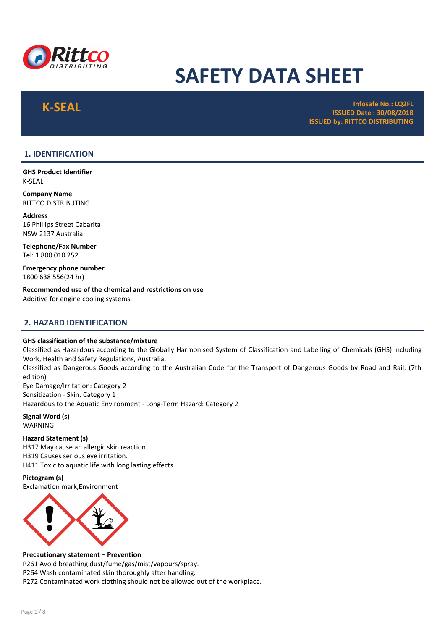

# SAFETY DATA SHEET

 $\mathsf K\text{-}\mathsf{SEARCH}$  and  $\mathsf {test}$  infosafe No.: LQ2FL infosafe No.: LQ2FL infosafe No.: LQ2FL infosafe No.: LQ2FL infosafe No.: LQ2FL infosafe No.: LQ2FL infosafe No.: LQ2FL infosafe No.: LQ2FL infosafe No.: LQ2FL infosafe  $\math$ ISSUED Date : 30/08/2018 ISSUED by: RITTCO DISTRIBUTING

# 1. IDENTIFICATION

GHS Product Identifier K-SEAL

Company Name RITTCO DISTRIBUTING

Address 16 Phillips Street Cabarita NSW 2137 Australia

Telephone/Fax Number Tel: 1 800 010 252

Emergency phone number 1800 638 556(24 hr)

Recommended use of the chemical and restrictions on use Additive for engine cooling systems.

# 2. HAZARD IDENTIFICATION

#### GHS classification of the substance/mixture

Classified as Hazardous according to the Globally Harmonised System of Classification and Labelling of Chemicals (GHS) including Work, Health and Safety Regulations, Australia.

Classified as Dangerous Goods according to the Australian Code for the Transport of Dangerous Goods by Road and Rail. (7th edition)

Eye Damage/Irritation: Category 2 Sensitization - Skin: Category 1 Hazardous to the Aquatic Environment - Long-Term Hazard: Category 2

Signal Word (s) WARNING

Hazard Statement (s) H317 May cause an allergic skin reaction. H319 Causes serious eye irritation. H411 Toxic to aquatic life with long lasting effects.

#### Pictogram (s)

Exclamation mark,Environment



#### Precautionary statement – Prevention

P261 Avoid breathing dust/fume/gas/mist/vapours/spray. P264 Wash contaminated skin thoroughly after handling. P272 Contaminated work clothing should not be allowed out of the workplace.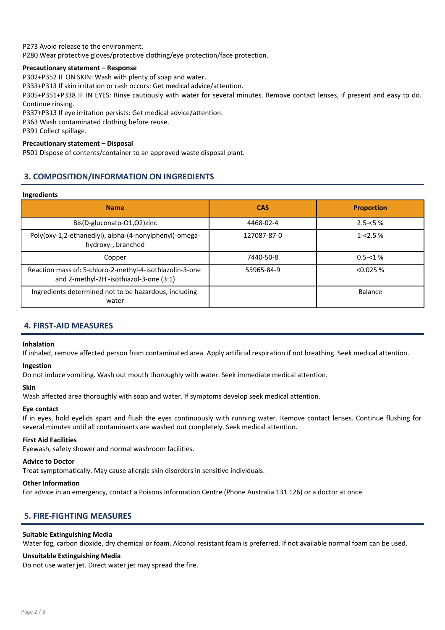P273 Avoid release to the environment.

P280 Wear protective gloves/protective clothing/eye protection/face protection.

#### Precautionary statement – Response

P302+P352 IF ON SKIN: Wash with plenty of soap and water.

P333+P313 If skin irritation or rash occurs: Get medical advice/attention.

P305+P351+P338 IF IN EYES: Rinse cautiously with water for several minutes. Remove contact lenses, if present and easy to do. Continue rinsing.

P337+P313 If eye irritation persists: Get medical advice/attention.

P363 Wash contaminated clothing before reuse.

P391 Collect spillage.

### Precautionary statement – Disposal

P501 Dispose of contents/container to an approved waste disposal plant.

# 3. COMPOSITION/INFORMATION ON INGREDIENTS

#### Ingredients

| <b>Name</b>                                                                                         | <b>CAS</b>  | <b>Proportion</b> |
|-----------------------------------------------------------------------------------------------------|-------------|-------------------|
| Bis(D-gluconato-O1,O2)zinc                                                                          | 4468-02-4   | $2.5 - 5%$        |
| Poly(oxy-1,2-ethanediyl), alpha-(4-nonylphenyl)-omega-<br>hydroxy-, branched                        | 127087-87-0 | $1 - 2.5%$        |
| Copper                                                                                              | 7440-50-8   | $0.5 - 1%$        |
| Reaction mass of: 5-chloro-2-methyl-4-isothiazolin-3-one<br>and 2-methyl-2H -isothiazol-3-one (3:1) | 55965-84-9  | < 0.025 %         |
| Ingredients determined not to be hazardous, including<br>water                                      |             | Balance           |

# 4. FIRST-AID MEASURES

#### Inhalation

If inhaled, remove affected person from contaminated area. Apply artificial respiration if not breathing. Seek medical attention.

#### Ingestion

Do not induce vomiting. Wash out mouth thoroughly with water. Seek immediate medical attention.

#### Skin

Wash affected area thoroughly with soap and water. If symptoms develop seek medical attention.

#### Eye contact

If in eyes, hold eyelids apart and flush the eyes continuously with running water. Remove contact lenses. Continue flushing for several minutes until all contaminants are washed out completely. Seek medical attention.

#### First Aid Facilities

Eyewash, safety shower and normal washroom facilities.

#### Advice to Doctor

Treat symptomatically. May cause allergic skin disorders in sensitive individuals.

#### Other Information

For advice in an emergency, contact a Poisons Information Centre (Phone Australia 131 126) or a doctor at once.

# 5. FIRE-FIGHTING MEASURES

#### Suitable Extinguishing Media

Water fog, carbon dioxide, dry chemical or foam. Alcohol resistant foam is preferred. If not available normal foam can be used.

#### Unsuitable Extinguishing Media

Do not use water jet. Direct water jet may spread the fire.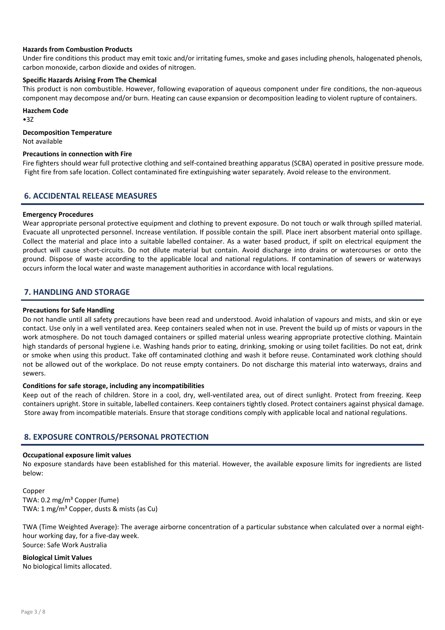#### Hazards from Combustion Products

Under fire conditions this product may emit toxic and/or irritating fumes, smoke and gases including phenols, halogenated phenols, carbon monoxide, carbon dioxide and oxides of nitrogen.

#### Specific Hazards Arising From The Chemical

This product is non combustible. However, following evaporation of aqueous component under fire conditions, the non-aqueous component may decompose and/or burn. Heating can cause expansion or decomposition leading to violent rupture of containers.

Hazchem Code

•3Z

#### Decomposition Temperature

Not available

### Precautions in connection with Fire

Fire fighters should wear full protective clothing and self-contained breathing apparatus (SCBA) operated in positive pressure mode. Fight fire from safe location. Collect contaminated fire extinguishing water separately. Avoid release to the environment.

# 6. ACCIDENTAL RELEASE MEASURES

#### Emergency Procedures

Wear appropriate personal protective equipment and clothing to prevent exposure. Do not touch or walk through spilled material. Evacuate all unprotected personnel. Increase ventilation. If possible contain the spill. Place inert absorbent material onto spillage. Collect the material and place into a suitable labelled container. As a water based product, if spilt on electrical equipment the product will cause short-circuits. Do not dilute material but contain. Avoid discharge into drains or watercourses or onto the ground. Dispose of waste according to the applicable local and national regulations. If contamination of sewers or waterways occurs inform the local water and waste management authorities in accordance with local regulations.

# 7. HANDLING AND STORAGE

#### Precautions for Safe Handling

Do not handle until all safety precautions have been read and understood. Avoid inhalation of vapours and mists, and skin or eye contact. Use only in a well ventilated area. Keep containers sealed when not in use. Prevent the build up of mists or vapours in the work atmosphere. Do not touch damaged containers or spilled material unless wearing appropriate protective clothing. Maintain high standards of personal hygiene i.e. Washing hands prior to eating, drinking, smoking or using toilet facilities. Do not eat, drink or smoke when using this product. Take off contaminated clothing and wash it before reuse. Contaminated work clothing should not be allowed out of the workplace. Do not reuse empty containers. Do not discharge this material into waterways, drains and sewers.

#### Conditions for safe storage, including any incompatibilities

Keep out of the reach of children. Store in a cool, dry, well-ventilated area, out of direct sunlight. Protect from freezing. Keep containers upright. Store in suitable, labelled containers. Keep containers tightly closed. Protect containers against physical damage. Store away from incompatible materials. Ensure that storage conditions comply with applicable local and national regulations.

# 8. EXPOSURE CONTROLS/PERSONAL PROTECTION

#### Occupational exposure limit values

No exposure standards have been established for this material. However, the available exposure limits for ingredients are listed below:

Copper TWA: 0.2 mg/m<sup>3</sup> Copper (fume) TWA: 1 mg/m<sup>3</sup> Copper, dusts & mists (as Cu)

TWA (Time Weighted Average): The average airborne concentration of a particular substance when calculated over a normal eighthour working day, for a five-day week. Source: Safe Work Australia

Biological Limit Values No biological limits allocated.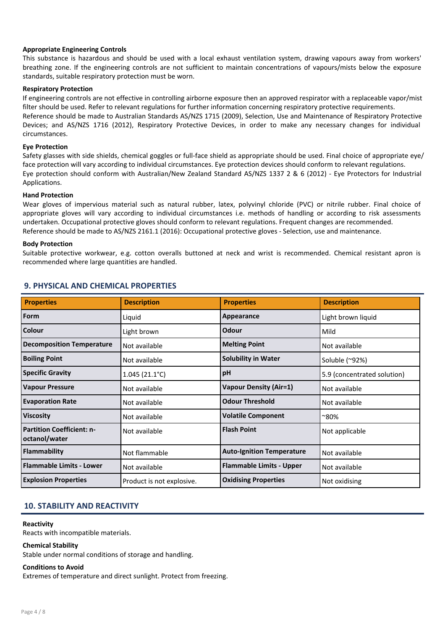#### Appropriate Engineering Controls

This substance is hazardous and should be used with a local exhaust ventilation system, drawing vapours away from workers' breathing zone. If the engineering controls are not sufficient to maintain concentrations of vapours/mists below the exposure standards, suitable respiratory protection must be worn.

#### Respiratory Protection

If engineering controls are not effective in controlling airborne exposure then an approved respirator with a replaceable vapor/mist filter should be used. Refer to relevant regulations for further information concerning respiratory protective requirements. Reference should be made to Australian Standards AS/NZS 1715 (2009), Selection, Use and Maintenance of Respiratory Protective Devices; and AS/NZS 1716 (2012), Respiratory Protective Devices, in order to make any necessary changes for individual circumstances.

#### Eye Protection

Safety glasses with side shields, chemical goggles or full-face shield as appropriate should be used. Final choice of appropriate eye/ face protection will vary according to individual circumstances. Eye protection devices should conform to relevant regulations. Eye protection should conform with Australian/New Zealand Standard AS/NZS 1337 2 & 6 (2012) - Eye Protectors for Industrial Applications.

#### Hand Protection

Wear gloves of impervious material such as natural rubber, latex, polyvinyl chloride (PVC) or nitrile rubber. Final choice of appropriate gloves will vary according to individual circumstances i.e. methods of handling or according to risk assessments undertaken. Occupational protective gloves should conform to relevant regulations. Frequent changes are recommended. Reference should be made to AS/NZS 2161.1 (2016): Occupational protective gloves - Selection, use and maintenance.

#### Body Protection

Suitable protective workwear, e.g. cotton overalls buttoned at neck and wrist is recommended. Chemical resistant apron is recommended where large quantities are handled.

| <b>Properties</b>                                 | <b>Description</b>        | <b>Properties</b>                | <b>Description</b>          |
|---------------------------------------------------|---------------------------|----------------------------------|-----------------------------|
| Form                                              | Liquid                    | Appearance                       | Light brown liquid          |
| <b>Colour</b>                                     | Light brown               | Odour                            | Mild                        |
| <b>Decomposition Temperature</b>                  | Not available             | <b>Melting Point</b>             | Not available               |
| <b>Boiling Point</b>                              | Not available             | <b>Solubility in Water</b>       | Soluble (~92%)              |
| <b>Specific Gravity</b>                           | $1.045(21.1^{\circ}C)$    | pH                               | 5.9 (concentrated solution) |
| <b>Vapour Pressure</b>                            | Not available             | <b>Vapour Density (Air=1)</b>    | Not available               |
| <b>Evaporation Rate</b>                           | Not available             | <b>Odour Threshold</b>           | Not available               |
| <b>Viscosity</b>                                  | Not available             | <b>Volatile Component</b>        | ~80%                        |
| <b>Partition Coefficient: n-</b><br>octanol/water | Not available             | <b>Flash Point</b>               | Not applicable              |
| Flammability                                      | Not flammable             | <b>Auto-Ignition Temperature</b> | Not available               |
| <b>Flammable Limits - Lower</b>                   | Not available             | <b>Flammable Limits - Upper</b>  | Not available               |
| <b>Explosion Properties</b>                       | Product is not explosive. | <b>Oxidising Properties</b>      | Not oxidising               |

# 9. PHYSICAL AND CHEMICAL PROPERTIES

# 10. STABILITY AND REACTIVITY

#### Reactivity

Reacts with incompatible materials.

#### Chemical Stability

Stable under normal conditions of storage and handling.

#### Conditions to Avoid

Extremes of temperature and direct sunlight. Protect from freezing.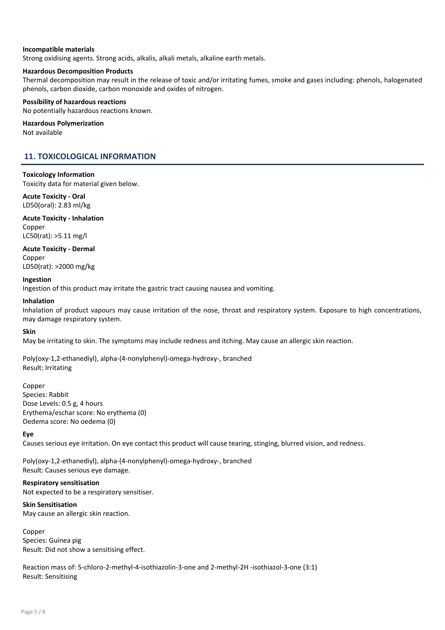#### Incompatible materials

Strong oxidising agents. Strong acids, alkalis, alkali metals, alkaline earth metals.

#### Hazardous Decomposition Products

Thermal decomposition may result in the release of toxic and/or irritating fumes, smoke and gases including: phenols, halogenated phenols, carbon dioxide, carbon monoxide and oxides of nitrogen.

### Possibility of hazardous reactions

No potentially hazardous reactions known.

#### Hazardous Polymerization

Not available

# 11. TOXICOLOGICAL INFORMATION

#### Toxicology Information

Toxicity data for material given below.

#### Acute Toxicity - Oral LD50(oral): 2.83 ml/kg

Acute Toxicity - Inhalation Copper LC50(rat): >5.11 mg/l

Acute Toxicity - Dermal Copper

LD50(rat): >2000 mg/kg

#### Ingestion

Ingestion of this product may irritate the gastric tract causing nausea and vomiting.

#### Inhalation

Inhalation of product vapours may cause irritation of the nose, throat and respiratory system. Exposure to high concentrations, may damage respiratory system.

#### Skin

May be irritating to skin. The symptoms may include redness and itching. May cause an allergic skin reaction.

Poly(oxy-1,2-ethanediyl), alpha-(4-nonylphenyl)-omega-hydroxy-, branched Result: Irritating

#### Copper

Species: Rabbit Dose Levels: 0.5 g, 4 hours Erythema/eschar score: No erythema (0) Oedema score: No oedema (0)

#### Eye

Causes serious eye irritation. On eye contact this product will cause tearing, stinging, blurred vision, and redness.

Poly(oxy-1,2-ethanediyl), alpha-(4-nonylphenyl)-omega-hydroxy-, branched Result: Causes serious eye damage.

Respiratory sensitisation Not expected to be a respiratory sensitiser.

#### Skin Sensitisation

May cause an allergic skin reaction.

Copper Species: Guinea pig Result: Did not show a sensitising effect.

Reaction mass of: 5-chloro-2-methyl-4-isothiazolin-3-one and 2-methyl-2H -isothiazol-3-one (3:1) Result: Sensitising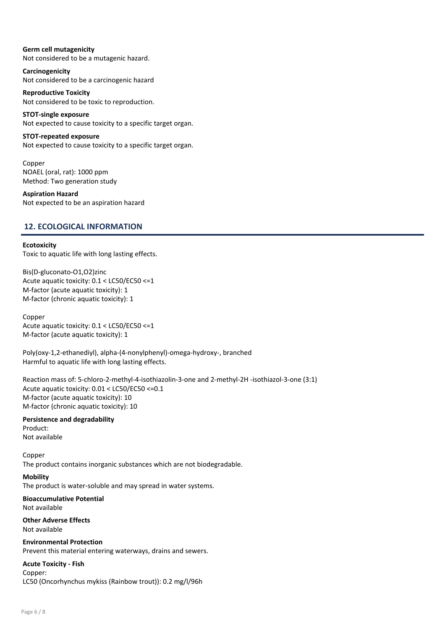# Germ cell mutagenicity

Not considered to be a mutagenic hazard.

Carcinogenicity Not considered to be a carcinogenic hazard

Reproductive Toxicity Not considered to be toxic to reproduction.

STOT-single exposure Not expected to cause toxicity to a specific target organ.

STOT-repeated exposure

Not expected to cause toxicity to a specific target organ.

Copper NOAEL (oral, rat): 1000 ppm Method: Two generation study

Aspiration Hazard Not expected to be an aspiration hazard

# 12. ECOLOGICAL INFORMATION

#### **Ecotoxicity**

Toxic to aquatic life with long lasting effects.

Bis(D-gluconato-O1,O2)zinc Acute aquatic toxicity: 0.1 < LC50/EC50 <=1 M-factor (acute aquatic toxicity): 1 M-factor (chronic aquatic toxicity): 1

Copper Acute aquatic toxicity: 0.1 < LC50/EC50 <=1 M-factor (acute aquatic toxicity): 1

Poly(oxy-1,2-ethanediyl), alpha-(4-nonylphenyl)-omega-hydroxy-, branched Harmful to aquatic life with long lasting effects.

Reaction mass of: 5-chloro-2-methyl-4-isothiazolin-3-one and 2-methyl-2H -isothiazol-3-one (3:1) Acute aquatic toxicity: 0.01 < LC50/EC50 <=0.1 M-factor (acute aquatic toxicity): 10 M-factor (chronic aquatic toxicity): 10

Persistence and degradability Product:

Not available

Copper The product contains inorganic substances which are not biodegradable.

#### Mobility

The product is water-soluble and may spread in water systems.

Bioaccumulative Potential Not available

Other Adverse Effects Not available

Environmental Protection Prevent this material entering waterways, drains and sewers.

# Acute Toxicity - Fish

Copper:

LC50 (Oncorhynchus mykiss (Rainbow trout)): 0.2 mg/l/96h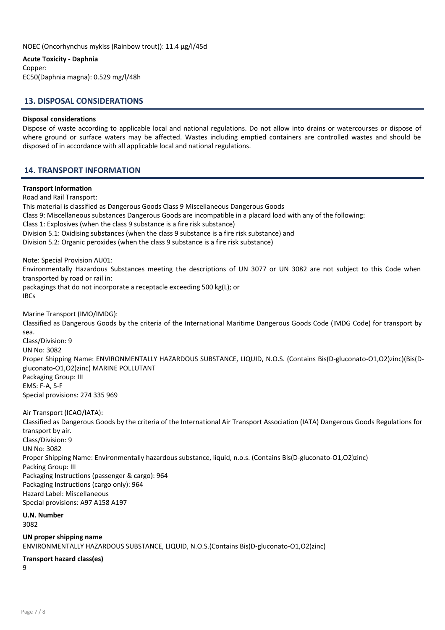NOEC (Oncorhynchus mykiss (Rainbow trout)): 11.4 µg/l/45d

#### Acute Toxicity - Daphnia

Copper: EC50(Daphnia magna): 0.529 mg/l/48h

# 13. DISPOSAL CONSIDERATIONS

#### Disposal considerations

Dispose of waste according to applicable local and national regulations. Do not allow into drains or watercourses or dispose of where ground or surface waters may be affected. Wastes including emptied containers are controlled wastes and should be disposed of in accordance with all applicable local and national regulations.

# 14. TRANSPORT INFORMATION

#### Transport Information

Road and Rail Transport: This material is classified as Dangerous Goods Class 9 Miscellaneous Dangerous Goods Class 9: Miscellaneous substances Dangerous Goods are incompatible in a placard load with any of the following: Class 1: Explosives (when the class 9 substance is a fire risk substance) Division 5.1: Oxidising substances (when the class 9 substance is a fire risk substance) and Division 5.2: Organic peroxides (when the class 9 substance is a fire risk substance) Note: Special Provision AU01: Environmentally Hazardous Substances meeting the descriptions of UN 3077 or UN 3082 are not subject to this Code when transported by road or rail in: packagings that do not incorporate a receptacle exceeding 500 kg(L); or IBCs Marine Transport (IMO/IMDG): Classified as Dangerous Goods by the criteria of the International Maritime Dangerous Goods Code (IMDG Code) for transport by sea. Class/Division: 9 UN No: 3082 Proper Shipping Name: ENVIRONMENTALLY HAZARDOUS SUBSTANCE, LIQUID, N.O.S. (Contains Bis(D-gluconato-O1,O2)zinc)(Bis(Dgluconato-O1,O2)zinc) MARINE POLLUTANT Packaging Group: III EMS: F-A, S-F Special provisions: 274 335 969 Air Transport (ICAO/IATA): Classified as Dangerous Goods by the criteria of the International Air Transport Association (IATA) Dangerous Goods Regulations for transport by air. Class/Division: 9 UN No: 3082 Proper Shipping Name: Environmentally hazardous substance, liquid, n.o.s. (Contains Bis(D-gluconato-O1,O2)zinc) Packing Group: III

Packaging Instructions (passenger & cargo): 964 Packaging Instructions (cargo only): 964 Hazard Label: Miscellaneous

Special provisions: A97 A158 A197

U.N. Number 3082

UN proper shipping name ENVIRONMENTALLY HAZARDOUS SUBSTANCE, LIQUID, N.O.S.(Contains Bis(D-gluconato-O1,O2)zinc)

#### Transport hazard class(es)

9